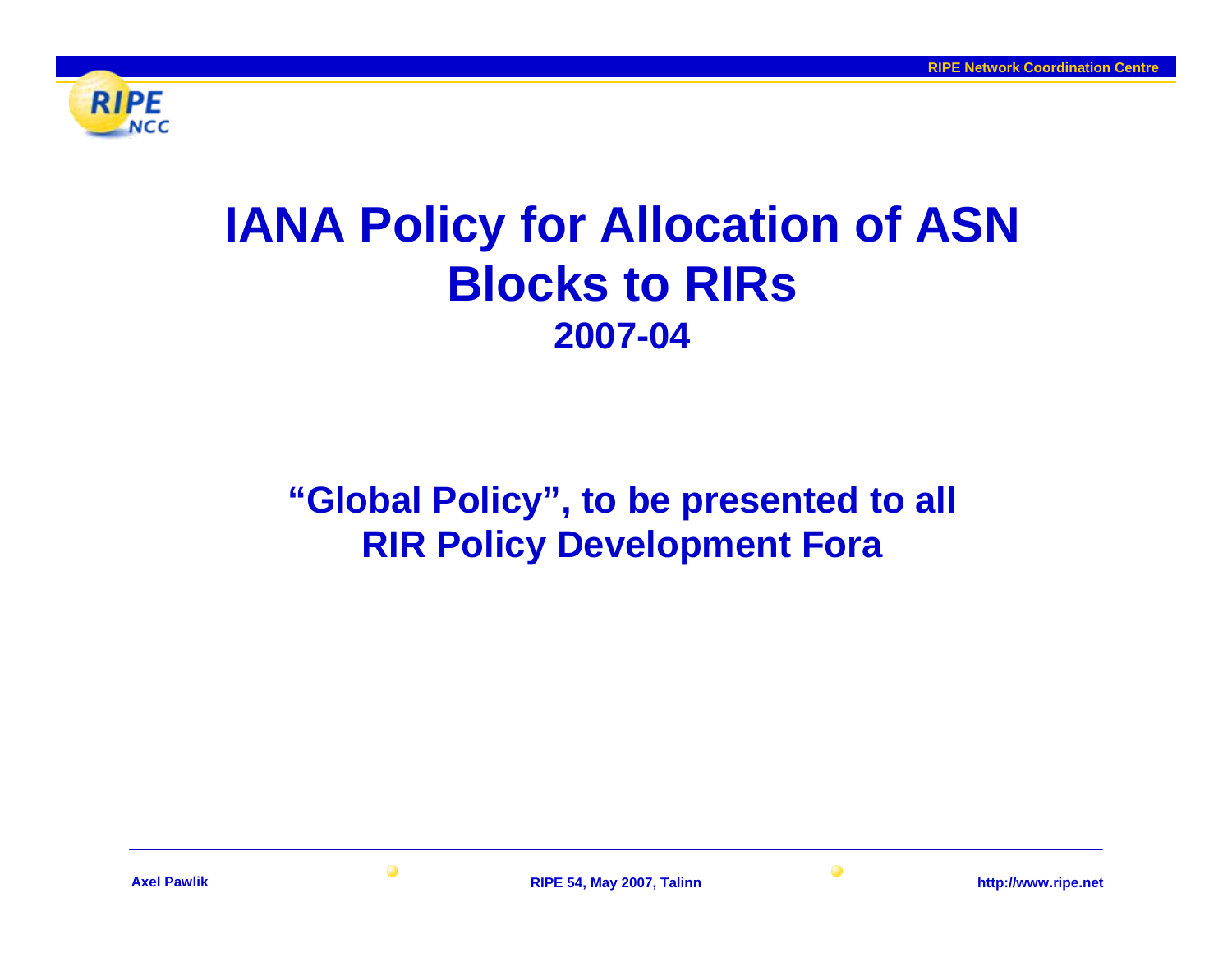

# **IANA Policy for Allocation of ASN Blocks to RIRs2007-04**

# **"Global Policy", to be presented to all RIR Policy Development Fora**

 $\bullet$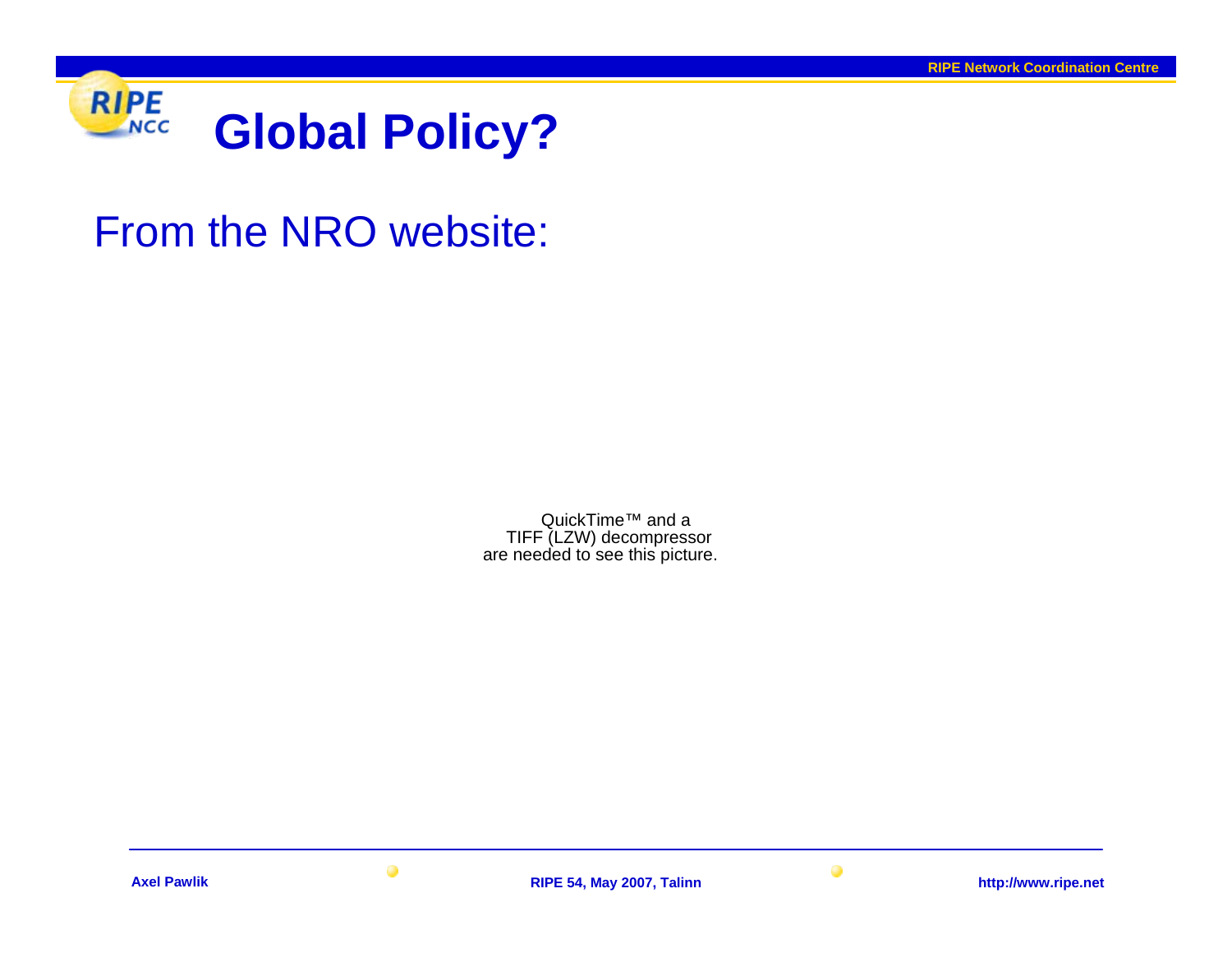

# From the NRO website:

QuickTime<sup>™</sup> and a TIFF (LZW) decompressor are needed to see this picture.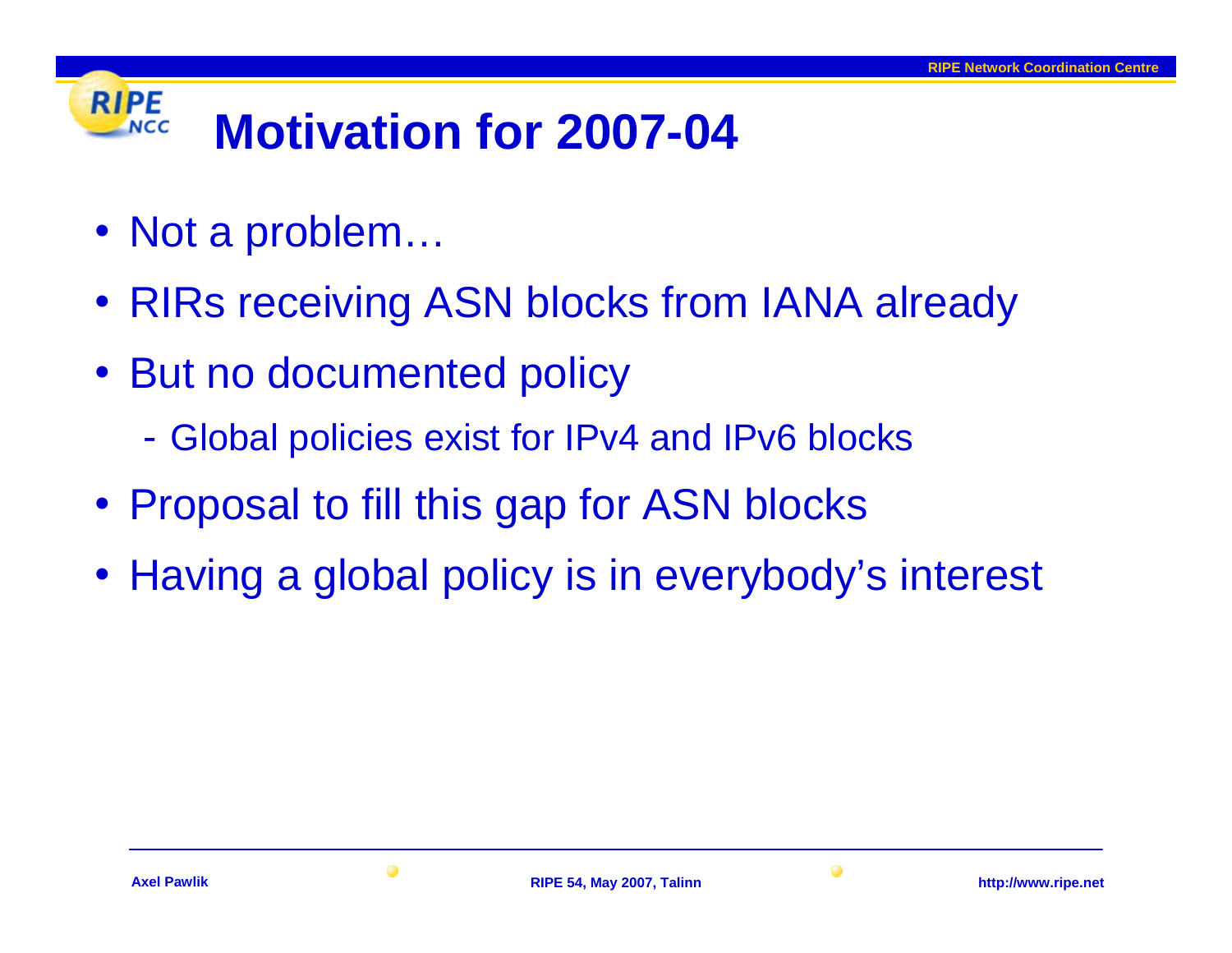### **RIPE Motivation for 2007-04** NCC

- Not a problem…
- RIRs receiving ASN blocks from IANA already
- But no documented policy
	- Global policies exist for IPv4 and IPv6 blocks
- Proposal to fill this gap for ASN blocks
- Having a global policy is in everybody's interest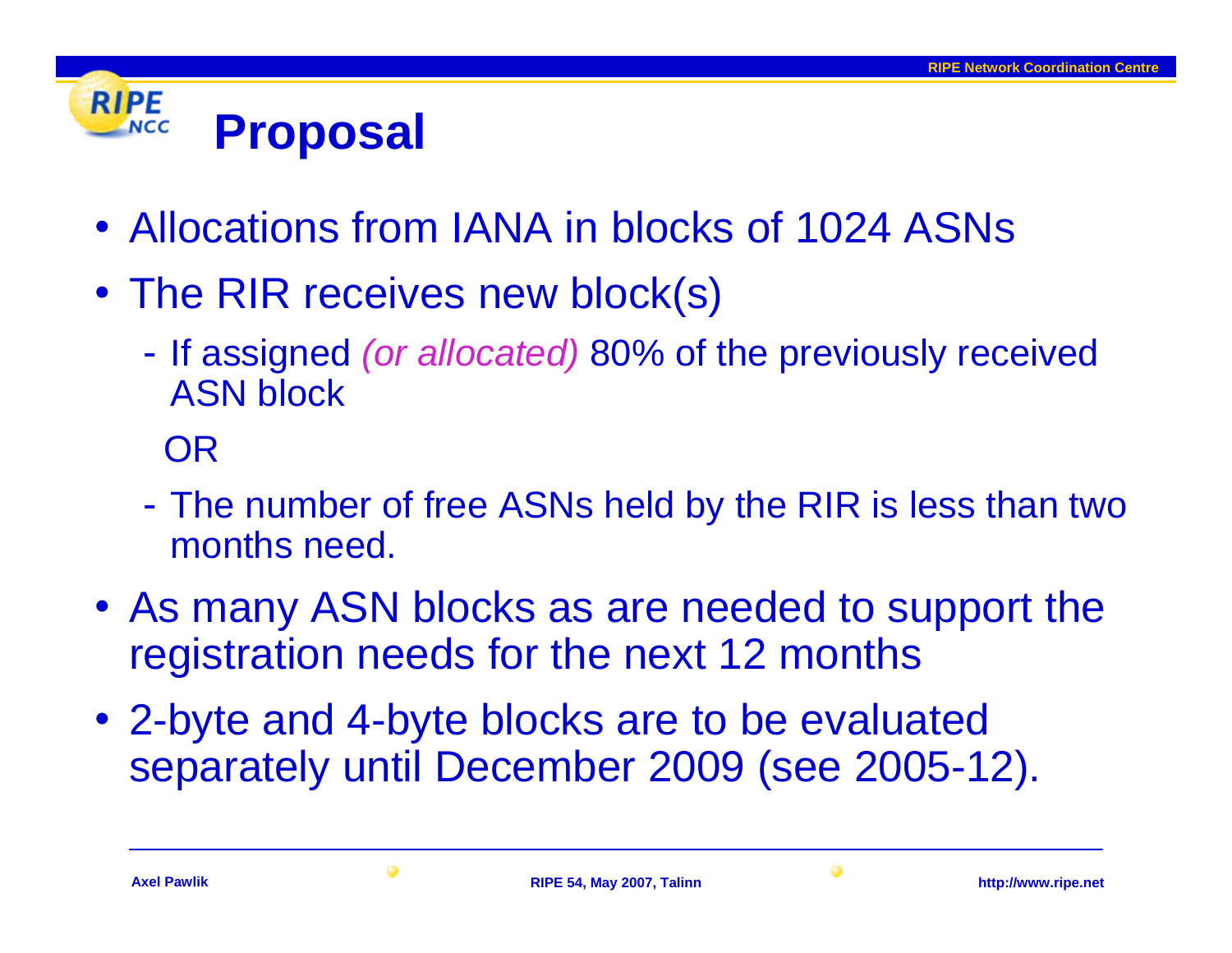#### **RIPE Proposal NCC**

- Allocations from IANA in blocks of 1024 ASNs
- The RIR receives new block(s)
	- If assigned *(or allocated)* 80% of the previously received ASN block

OR

- The number of free ASNs held by the RIR is less than two months need.
- As many ASN blocks as are needed to support the registration needs for the next 12 months
- 2-byte and 4-byte blocks are to be evaluated separately until December 2009 (see 2005-12).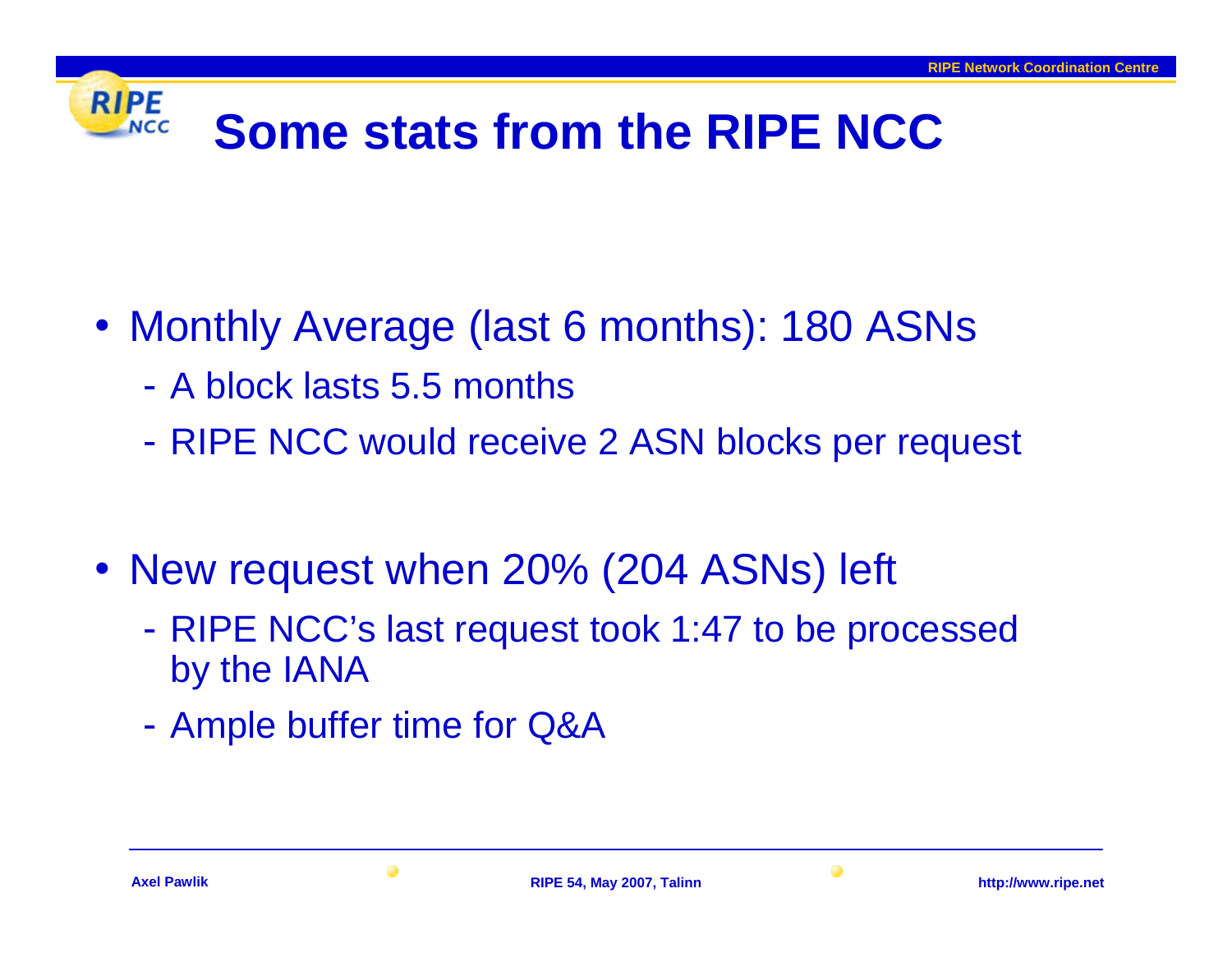### **RIPE Some stats from the RIPE NCC**

- Monthly Average (last 6 months): 180 ASNs
	- A block lasts 5.5 months
	- RIPE NCC would receive 2 ASN blocks per request
- New request when 20% (204 ASNs) left
	- RIPE NCC's last request took 1:47 to be processed by the IANA
	- -Ample buffer time for Q&A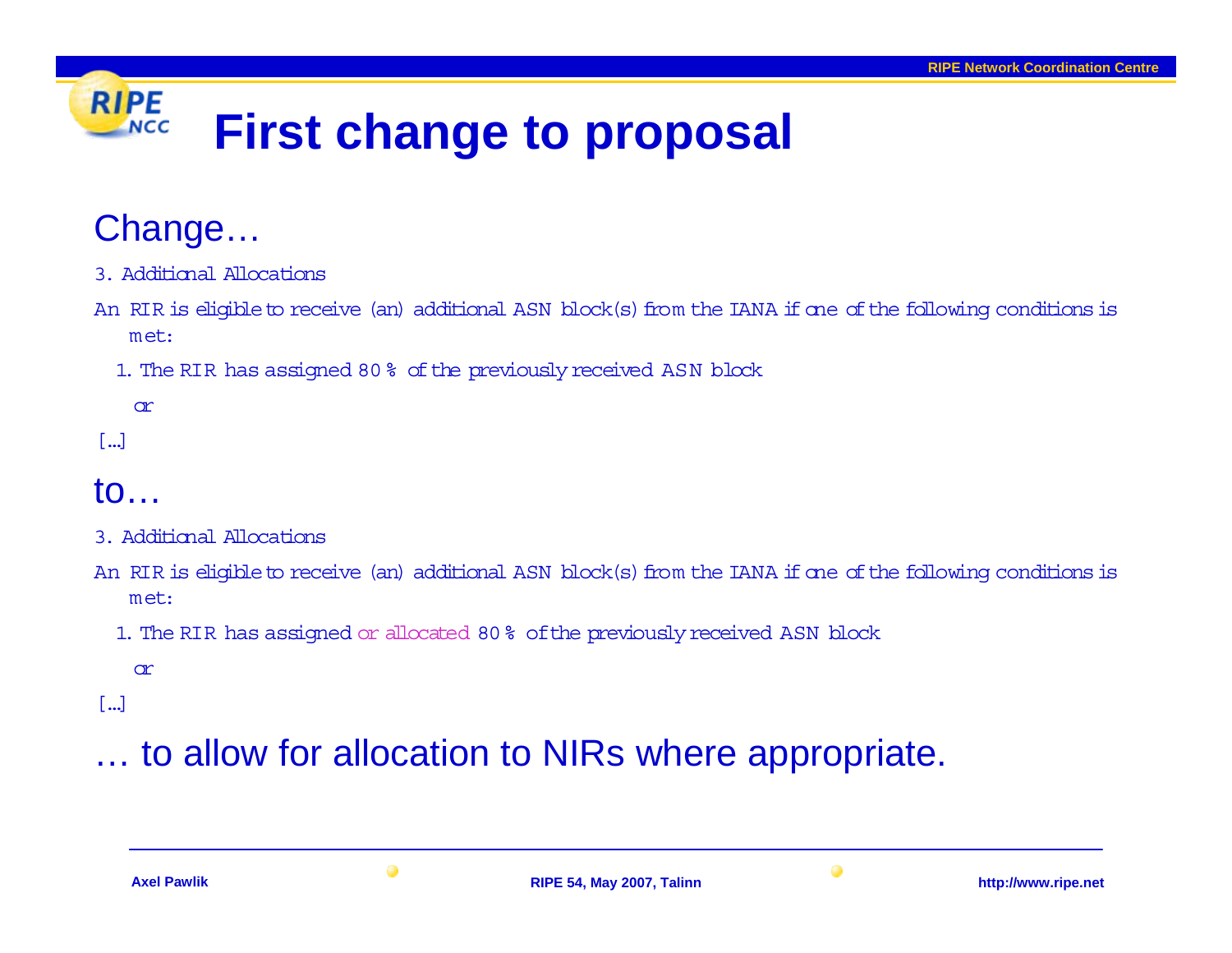### **RIPE First change to proposal NCC**

## Change…

- 3. Additional Allocations
- An RIR is eligible to receive (an) additional ASN block(s) from the IANA if one ofthe following conditions is met:
	- 1. The RIR has assigned 80 % ofthe previously received ASN block

or

[…]

## to…

- 3. Additional Allocations
- An RIR is eligible to receive (an) additional ASN block(s) from the IANA if one ofthe following conditions is met:
	- 1. The RIR has assigned or allocated 80% ofthe previously received ASN block

or

[…]

# to allow for allocation to NIRs where appropriate.